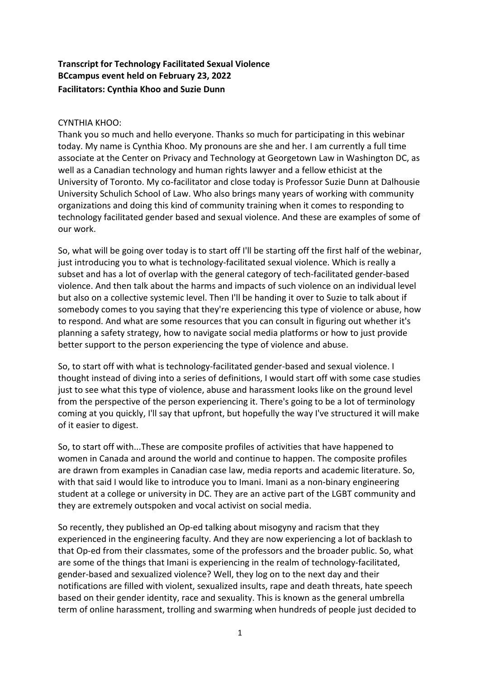# **Transcript for Technology Facilitated Sexual Violence BCcampus event held on February 23, 2022 Facilitators: Cynthia Khoo and Suzie Dunn**

# CYNTHIA KHOO:

Thank you so much and hello everyone. Thanks so much for participating in this webinar today. My name is Cynthia Khoo. My pronouns are she and her. I am currently a full time associate at the Center on Privacy and Technology at Georgetown Law in Washington DC, as well as a Canadian technology and human rights lawyer and a fellow ethicist at the University of Toronto. My co-facilitator and close today is Professor Suzie Dunn at Dalhousie University Schulich School of Law. Who also brings many years of working with community organizations and doing this kind of community training when it comes to responding to technology facilitated gender based and sexual violence. And these are examples of some of our work.

So, what will be going over today is to start off I'll be starting off the first half of the webinar, just introducing you to what is technology-facilitated sexual violence. Which is really a subset and has a lot of overlap with the general category of tech-facilitated gender-based violence. And then talk about the harms and impacts of such violence on an individual level but also on a collective systemic level. Then I'll be handing it over to Suzie to talk about if somebody comes to you saying that they're experiencing this type of violence or abuse, how to respond. And what are some resources that you can consult in figuring out whether it's planning a safety strategy, how to navigate social media platforms or how to just provide better support to the person experiencing the type of violence and abuse.

So, to start off with what is technology-facilitated gender-based and sexual violence. I thought instead of diving into a series of definitions, I would start off with some case studies just to see what this type of violence, abuse and harassment looks like on the ground level from the perspective of the person experiencing it. There's going to be a lot of terminology coming at you quickly, I'll say that upfront, but hopefully the way I've structured it will make of it easier to digest.

So, to start off with...These are composite profiles of activities that have happened to women in Canada and around the world and continue to happen. The composite profiles are drawn from examples in Canadian case law, media reports and academic literature. So, with that said I would like to introduce you to Imani. Imani as a non-binary engineering student at a college or university in DC. They are an active part of the LGBT community and they are extremely outspoken and vocal activist on social media.

So recently, they published an Op-ed talking about misogyny and racism that they experienced in the engineering faculty. And they are now experiencing a lot of backlash to that Op-ed from their classmates, some of the professors and the broader public. So, what are some of the things that Imani is experiencing in the realm of technology-facilitated, gender-based and sexualized violence? Well, they log on to the next day and their notifications are filled with violent, sexualized insults, rape and death threats, hate speech based on their gender identity, race and sexuality. This is known as the general umbrella term of online harassment, trolling and swarming when hundreds of people just decided to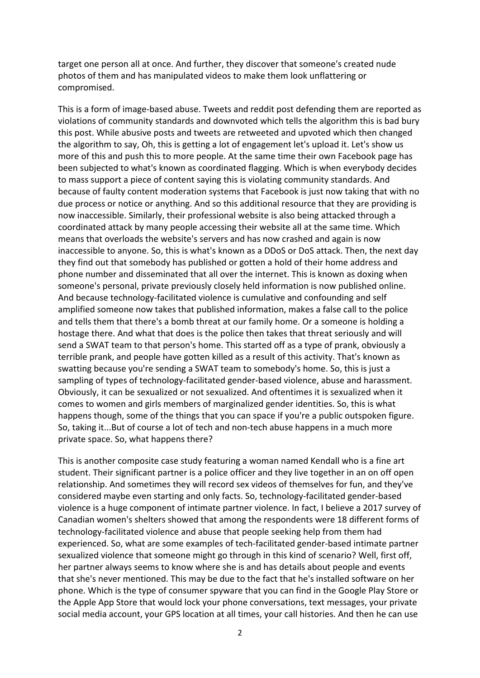target one person all at once. And further, they discover that someone's created nude photos of them and has manipulated videos to make them look unflattering or compromised.

This is a form of image-based abuse. Tweets and reddit post defending them are reported as violations of community standards and downvoted which tells the algorithm this is bad bury this post. While abusive posts and tweets are retweeted and upvoted which then changed the algorithm to say, Oh, this is getting a lot of engagement let's upload it. Let's show us more of this and push this to more people. At the same time their own Facebook page has been subjected to what's known as coordinated flagging. Which is when everybody decides to mass support a piece of content saying this is violating community standards. And because of faulty content moderation systems that Facebook is just now taking that with no due process or notice or anything. And so this additional resource that they are providing is now inaccessible. Similarly, their professional website is also being attacked through a coordinated attack by many people accessing their website all at the same time. Which means that overloads the website's servers and has now crashed and again is now inaccessible to anyone. So, this is what's known as a DDoS or DoS attack. Then, the next day they find out that somebody has published or gotten a hold of their home address and phone number and disseminated that all over the internet. This is known as doxing when someone's personal, private previously closely held information is now published online. And because technology-facilitated violence is cumulative and confounding and self amplified someone now takes that published information, makes a false call to the police and tells them that there's a bomb threat at our family home. Or a someone is holding a hostage there. And what that does is the police then takes that threat seriously and will send a SWAT team to that person's home. This started off as a type of prank, obviously a terrible prank, and people have gotten killed as a result of this activity. That's known as swatting because you're sending a SWAT team to somebody's home. So, this is just a sampling of types of technology-facilitated gender-based violence, abuse and harassment. Obviously, it can be sexualized or not sexualized. And oftentimes it is sexualized when it comes to women and girls members of marginalized gender identities. So, this is what happens though, some of the things that you can space if you're a public outspoken figure. So, taking it...But of course a lot of tech and non-tech abuse happens in a much more private space. So, what happens there?

This is another composite case study featuring a woman named Kendall who is a fine art student. Their significant partner is a police officer and they live together in an on off open relationship. And sometimes they will record sex videos of themselves for fun, and they've considered maybe even starting and only facts. So, technology-facilitated gender-based violence is a huge component of intimate partner violence. In fact, I believe a 2017 survey of Canadian women's shelters showed that among the respondents were 18 different forms of technology-facilitated violence and abuse that people seeking help from them had experienced. So, what are some examples of tech-facilitated gender-based intimate partner sexualized violence that someone might go through in this kind of scenario? Well, first off, her partner always seems to know where she is and has details about people and events that she's never mentioned. This may be due to the fact that he's installed software on her phone. Which is the type of consumer spyware that you can find in the Google Play Store or the Apple App Store that would lock your phone conversations, text messages, your private social media account, your GPS location at all times, your call histories. And then he can use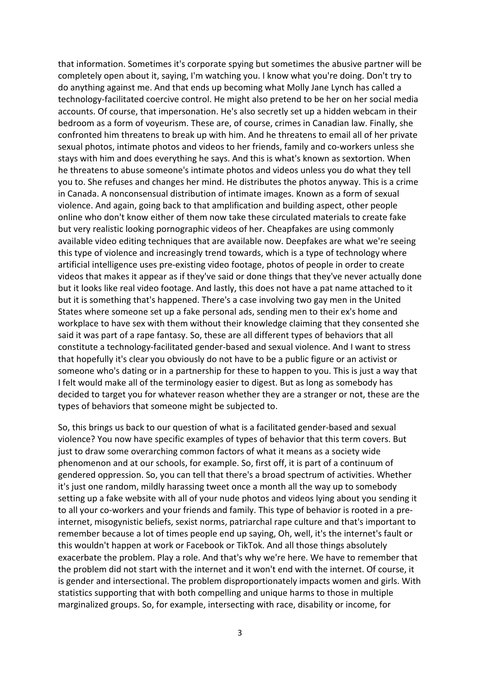that information. Sometimes it's corporate spying but sometimes the abusive partner will be completely open about it, saying, I'm watching you. I know what you're doing. Don't try to do anything against me. And that ends up becoming what Molly Jane Lynch has called a technology-facilitated coercive control. He might also pretend to be her on her social media accounts. Of course, that impersonation. He's also secretly set up a hidden webcam in their bedroom as a form of voyeurism. These are, of course, crimes in Canadian law. Finally, she confronted him threatens to break up with him. And he threatens to email all of her private sexual photos, intimate photos and videos to her friends, family and co-workers unless she stays with him and does everything he says. And this is what's known as sextortion. When he threatens to abuse someone's intimate photos and videos unless you do what they tell you to. She refuses and changes her mind. He distributes the photos anyway. This is a crime in Canada. A nonconsensual distribution of intimate images. Known as a form of sexual violence. And again, going back to that amplification and building aspect, other people online who don't know either of them now take these circulated materials to create fake but very realistic looking pornographic videos of her. Cheapfakes are using commonly available video editing techniques that are available now. Deepfakes are what we're seeing this type of violence and increasingly trend towards, which is a type of technology where artificial intelligence uses pre-existing video footage, photos of people in order to create videos that makes it appear as if they've said or done things that they've never actually done but it looks like real video footage. And lastly, this does not have a pat name attached to it but it is something that's happened. There's a case involving two gay men in the United States where someone set up a fake personal ads, sending men to their ex's home and workplace to have sex with them without their knowledge claiming that they consented she said it was part of a rape fantasy. So, these are all different types of behaviors that all constitute a technology-facilitated gender-based and sexual violence. And I want to stress that hopefully it's clear you obviously do not have to be a public figure or an activist or someone who's dating or in a partnership for these to happen to you. This is just a way that I felt would make all of the terminology easier to digest. But as long as somebody has decided to target you for whatever reason whether they are a stranger or not, these are the types of behaviors that someone might be subjected to.

So, this brings us back to our question of what is a facilitated gender-based and sexual violence? You now have specific examples of types of behavior that this term covers. But just to draw some overarching common factors of what it means as a society wide phenomenon and at our schools, for example. So, first off, it is part of a continuum of gendered oppression. So, you can tell that there's a broad spectrum of activities. Whether it's just one random, mildly harassing tweet once a month all the way up to somebody setting up a fake website with all of your nude photos and videos lying about you sending it to all your co-workers and your friends and family. This type of behavior is rooted in a preinternet, misogynistic beliefs, sexist norms, patriarchal rape culture and that's important to remember because a lot of times people end up saying, Oh, well, it's the internet's fault or this wouldn't happen at work or Facebook or TikTok. And all those things absolutely exacerbate the problem. Play a role. And that's why we're here. We have to remember that the problem did not start with the internet and it won't end with the internet. Of course, it is gender and intersectional. The problem disproportionately impacts women and girls. With statistics supporting that with both compelling and unique harms to those in multiple marginalized groups. So, for example, intersecting with race, disability or income, for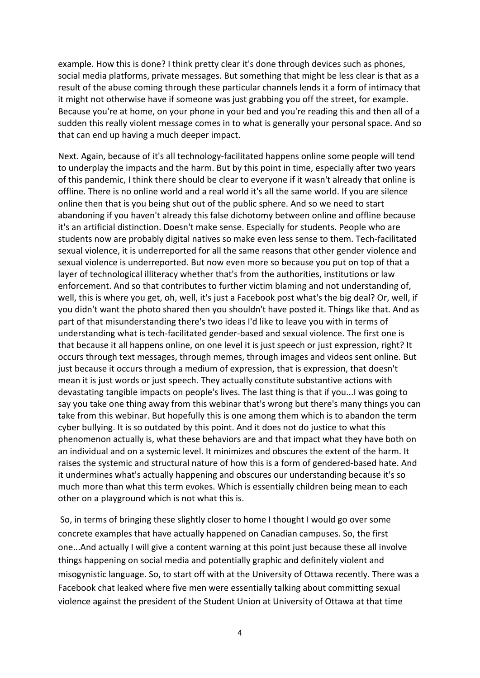example. How this is done? I think pretty clear it's done through devices such as phones, social media platforms, private messages. But something that might be less clear is that as a result of the abuse coming through these particular channels lends it a form of intimacy that it might not otherwise have if someone was just grabbing you off the street, for example. Because you're at home, on your phone in your bed and you're reading this and then all of a sudden this really violent message comes in to what is generally your personal space. And so that can end up having a much deeper impact.

Next. Again, because of it's all technology-facilitated happens online some people will tend to underplay the impacts and the harm. But by this point in time, especially after two years of this pandemic, I think there should be clear to everyone if it wasn't already that online is offline. There is no online world and a real world it's all the same world. If you are silence online then that is you being shut out of the public sphere. And so we need to start abandoning if you haven't already this false dichotomy between online and offline because it's an artificial distinction. Doesn't make sense. Especially for students. People who are students now are probably digital natives so make even less sense to them. Tech-facilitated sexual violence, it is underreported for all the same reasons that other gender violence and sexual violence is underreported. But now even more so because you put on top of that a layer of technological illiteracy whether that's from the authorities, institutions or law enforcement. And so that contributes to further victim blaming and not understanding of, well, this is where you get, oh, well, it's just a Facebook post what's the big deal? Or, well, if you didn't want the photo shared then you shouldn't have posted it. Things like that. And as part of that misunderstanding there's two ideas I'd like to leave you with in terms of understanding what is tech-facilitated gender-based and sexual violence. The first one is that because it all happens online, on one level it is just speech or just expression, right? It occurs through text messages, through memes, through images and videos sent online. But just because it occurs through a medium of expression, that is expression, that doesn't mean it is just words or just speech. They actually constitute substantive actions with devastating tangible impacts on people's lives. The last thing is that if you...I was going to say you take one thing away from this webinar that's wrong but there's many things you can take from this webinar. But hopefully this is one among them which is to abandon the term cyber bullying. It is so outdated by this point. And it does not do justice to what this phenomenon actually is, what these behaviors are and that impact what they have both on an individual and on a systemic level. It minimizes and obscures the extent of the harm. It raises the systemic and structural nature of how this is a form of gendered-based hate. And it undermines what's actually happening and obscures our understanding because it's so much more than what this term evokes. Which is essentially children being mean to each other on a playground which is not what this is.

So, in terms of bringing these slightly closer to home I thought I would go over some concrete examples that have actually happened on Canadian campuses. So, the first one...And actually I will give a content warning at this point just because these all involve things happening on social media and potentially graphic and definitely violent and misogynistic language. So, to start off with at the University of Ottawa recently. There was a Facebook chat leaked where five men were essentially talking about committing sexual violence against the president of the Student Union at University of Ottawa at that time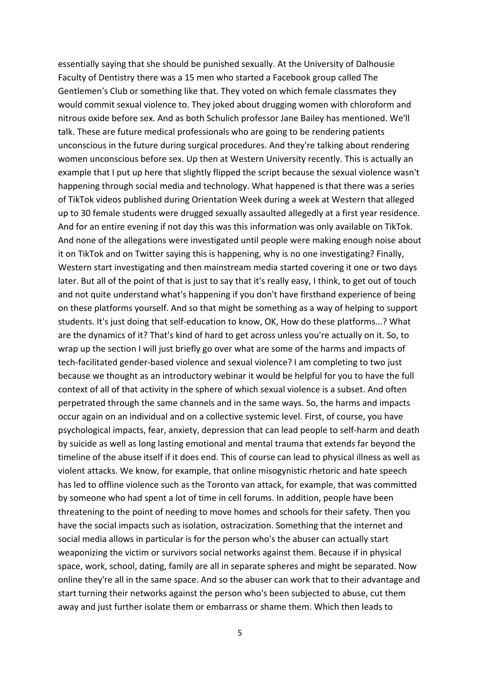essentially saying that she should be punished sexually. At the University of Dalhousie Faculty of Dentistry there was a 15 men who started a Facebook group called The Gentlemen's Club or something like that. They voted on which female classmates they would commit sexual violence to. They joked about drugging women with chloroform and nitrous oxide before sex. And as both Schulich professor Jane Bailey has mentioned. We'll talk. These are future medical professionals who are going to be rendering patients unconscious in the future during surgical procedures. And they're talking about rendering women unconscious before sex. Up then at Western University recently. This is actually an example that I put up here that slightly flipped the script because the sexual violence wasn't happening through social media and technology. What happened is that there was a series of TikTok videos published during Orientation Week during a week at Western that alleged up to 30 female students were drugged sexually assaulted allegedly at a first year residence. And for an entire evening if not day this was this information was only available on TikTok. And none of the allegations were investigated until people were making enough noise about it on TikTok and on Twitter saying this is happening, why is no one investigating? Finally, Western start investigating and then mainstream media started covering it one or two days later. But all of the point of that is just to say that it's really easy, I think, to get out of touch and not quite understand what's happening if you don't have firsthand experience of being on these platforms yourself. And so that might be something as a way of helping to support students. It's just doing that self-education to know, OK, How do these platforms...? What are the dynamics of it? That's kind of hard to get across unless you're actually on it. So, to wrap up the section I will just briefly go over what are some of the harms and impacts of tech-facilitated gender-based violence and sexual violence? I am completing to two just because we thought as an introductory webinar it would be helpful for you to have the full context of all of that activity in the sphere of which sexual violence is a subset. And often perpetrated through the same channels and in the same ways. So, the harms and impacts occur again on an individual and on a collective systemic level. First, of course, you have psychological impacts, fear, anxiety, depression that can lead people to self-harm and death by suicide as well as long lasting emotional and mental trauma that extends far beyond the timeline of the abuse itself if it does end. This of course can lead to physical illness as well as violent attacks. We know, for example, that online misogynistic rhetoric and hate speech has led to offline violence such as the Toronto van attack, for example, that was committed by someone who had spent a lot of time in cell forums. In addition, people have been threatening to the point of needing to move homes and schools for their safety. Then you have the social impacts such as isolation, ostracization. Something that the internet and social media allows in particular is for the person who's the abuser can actually start weaponizing the victim or survivors social networks against them. Because if in physical space, work, school, dating, family are all in separate spheres and might be separated. Now online they're all in the same space. And so the abuser can work that to their advantage and start turning their networks against the person who's been subjected to abuse, cut them away and just further isolate them or embarrass or shame them. Which then leads to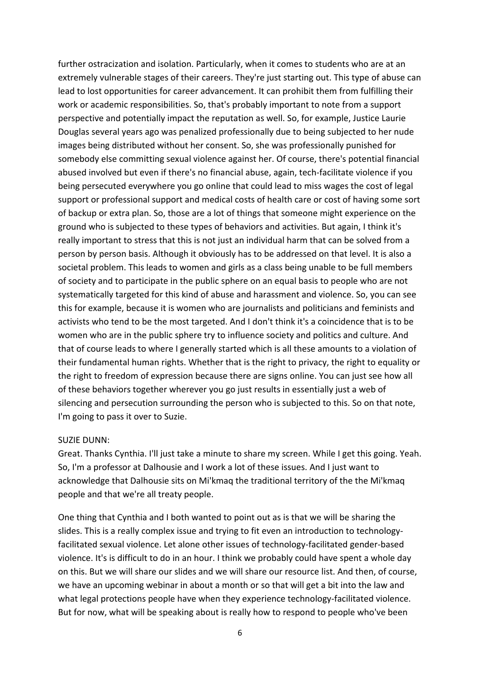further ostracization and isolation. Particularly, when it comes to students who are at an extremely vulnerable stages of their careers. They're just starting out. This type of abuse can lead to lost opportunities for career advancement. It can prohibit them from fulfilling their work or academic responsibilities. So, that's probably important to note from a support perspective and potentially impact the reputation as well. So, for example, Justice Laurie Douglas several years ago was penalized professionally due to being subjected to her nude images being distributed without her consent. So, she was professionally punished for somebody else committing sexual violence against her. Of course, there's potential financial abused involved but even if there's no financial abuse, again, tech-facilitate violence if you being persecuted everywhere you go online that could lead to miss wages the cost of legal support or professional support and medical costs of health care or cost of having some sort of backup or extra plan. So, those are a lot of things that someone might experience on the ground who is subjected to these types of behaviors and activities. But again, I think it's really important to stress that this is not just an individual harm that can be solved from a person by person basis. Although it obviously has to be addressed on that level. It is also a societal problem. This leads to women and girls as a class being unable to be full members of society and to participate in the public sphere on an equal basis to people who are not systematically targeted for this kind of abuse and harassment and violence. So, you can see this for example, because it is women who are journalists and politicians and feminists and activists who tend to be the most targeted. And I don't think it's a coincidence that is to be women who are in the public sphere try to influence society and politics and culture. And that of course leads to where I generally started which is all these amounts to a violation of their fundamental human rights. Whether that is the right to privacy, the right to equality or the right to freedom of expression because there are signs online. You can just see how all of these behaviors together wherever you go just results in essentially just a web of silencing and persecution surrounding the person who is subjected to this. So on that note, I'm going to pass it over to Suzie.

### SUZIE DUNN:

Great. Thanks Cynthia. I'll just take a minute to share my screen. While I get this going. Yeah. So, I'm a professor at Dalhousie and I work a lot of these issues. And I just want to acknowledge that Dalhousie sits on Mi'kmaq the traditional territory of the the Mi'kmaq people and that we're all treaty people.

One thing that Cynthia and I both wanted to point out as is that we will be sharing the slides. This is a really complex issue and trying to fit even an introduction to technologyfacilitated sexual violence. Let alone other issues of technology-facilitated gender-based violence. It's is difficult to do in an hour. I think we probably could have spent a whole day on this. But we will share our slides and we will share our resource list. And then, of course, we have an upcoming webinar in about a month or so that will get a bit into the law and what legal protections people have when they experience technology-facilitated violence. But for now, what will be speaking about is really how to respond to people who've been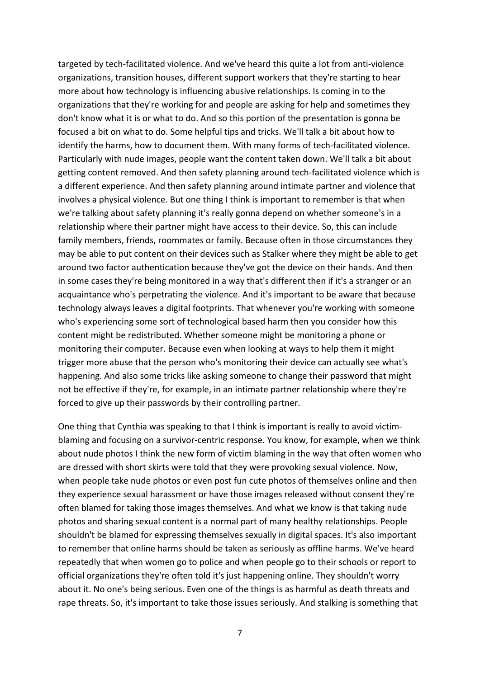targeted by tech-facilitated violence. And we've heard this quite a lot from anti-violence organizations, transition houses, different support workers that they're starting to hear more about how technology is influencing abusive relationships. Is coming in to the organizations that they're working for and people are asking for help and sometimes they don't know what it is or what to do. And so this portion of the presentation is gonna be focused a bit on what to do. Some helpful tips and tricks. We'll talk a bit about how to identify the harms, how to document them. With many forms of tech-facilitated violence. Particularly with nude images, people want the content taken down. We'll talk a bit about getting content removed. And then safety planning around tech-facilitated violence which is a different experience. And then safety planning around intimate partner and violence that involves a physical violence. But one thing I think is important to remember is that when we're talking about safety planning it's really gonna depend on whether someone's in a relationship where their partner might have access to their device. So, this can include family members, friends, roommates or family. Because often in those circumstances they may be able to put content on their devices such as Stalker where they might be able to get around two factor authentication because they've got the device on their hands. And then in some cases they're being monitored in a way that's different then if it's a stranger or an acquaintance who's perpetrating the violence. And it's important to be aware that because technology always leaves a digital footprints. That whenever you're working with someone who's experiencing some sort of technological based harm then you consider how this content might be redistributed. Whether someone might be monitoring a phone or monitoring their computer. Because even when looking at ways to help them it might trigger more abuse that the person who's monitoring their device can actually see what's happening. And also some tricks like asking someone to change their password that might not be effective if they're, for example, in an intimate partner relationship where they're forced to give up their passwords by their controlling partner.

One thing that Cynthia was speaking to that I think is important is really to avoid victimblaming and focusing on a survivor-centric response. You know, for example, when we think about nude photos I think the new form of victim blaming in the way that often women who are dressed with short skirts were told that they were provoking sexual violence. Now, when people take nude photos or even post fun cute photos of themselves online and then they experience sexual harassment or have those images released without consent they're often blamed for taking those images themselves. And what we know is that taking nude photos and sharing sexual content is a normal part of many healthy relationships. People shouldn't be blamed for expressing themselves sexually in digital spaces. It's also important to remember that online harms should be taken as seriously as offline harms. We've heard repeatedly that when women go to police and when people go to their schools or report to official organizations they're often told it's just happening online. They shouldn't worry about it. No one's being serious. Even one of the things is as harmful as death threats and rape threats. So, it's important to take those issues seriously. And stalking is something that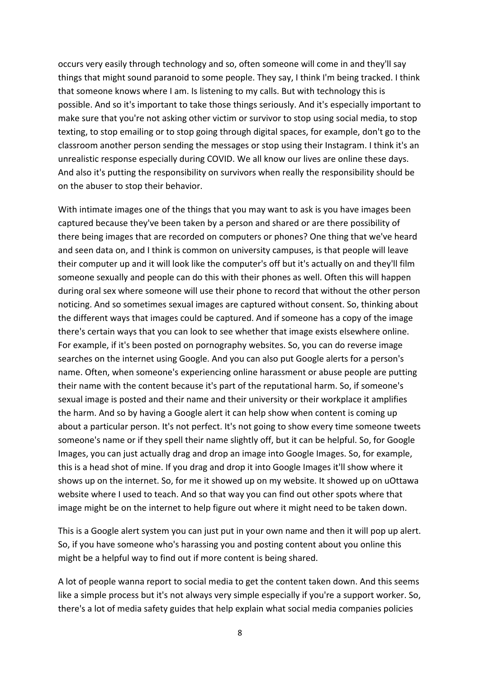occurs very easily through technology and so, often someone will come in and they'll say things that might sound paranoid to some people. They say, I think I'm being tracked. I think that someone knows where I am. Is listening to my calls. But with technology this is possible. And so it's important to take those things seriously. And it's especially important to make sure that you're not asking other victim or survivor to stop using social media, to stop texting, to stop emailing or to stop going through digital spaces, for example, don't go to the classroom another person sending the messages or stop using their Instagram. I think it's an unrealistic response especially during COVID. We all know our lives are online these days. And also it's putting the responsibility on survivors when really the responsibility should be on the abuser to stop their behavior.

With intimate images one of the things that you may want to ask is you have images been captured because they've been taken by a person and shared or are there possibility of there being images that are recorded on computers or phones? One thing that we've heard and seen data on, and I think is common on university campuses, is that people will leave their computer up and it will look like the computer's off but it's actually on and they'll film someone sexually and people can do this with their phones as well. Often this will happen during oral sex where someone will use their phone to record that without the other person noticing. And so sometimes sexual images are captured without consent. So, thinking about the different ways that images could be captured. And if someone has a copy of the image there's certain ways that you can look to see whether that image exists elsewhere online. For example, if it's been posted on pornography websites. So, you can do reverse image searches on the internet using Google. And you can also put Google alerts for a person's name. Often, when someone's experiencing online harassment or abuse people are putting their name with the content because it's part of the reputational harm. So, if someone's sexual image is posted and their name and their university or their workplace it amplifies the harm. And so by having a Google alert it can help show when content is coming up about a particular person. It's not perfect. It's not going to show every time someone tweets someone's name or if they spell their name slightly off, but it can be helpful. So, for Google Images, you can just actually drag and drop an image into Google Images. So, for example, this is a head shot of mine. If you drag and drop it into Google Images it'll show where it shows up on the internet. So, for me it showed up on my website. It showed up on uOttawa website where I used to teach. And so that way you can find out other spots where that image might be on the internet to help figure out where it might need to be taken down.

This is a Google alert system you can just put in your own name and then it will pop up alert. So, if you have someone who's harassing you and posting content about you online this might be a helpful way to find out if more content is being shared.

A lot of people wanna report to social media to get the content taken down. And this seems like a simple process but it's not always very simple especially if you're a support worker. So, there's a lot of media safety guides that help explain what social media companies policies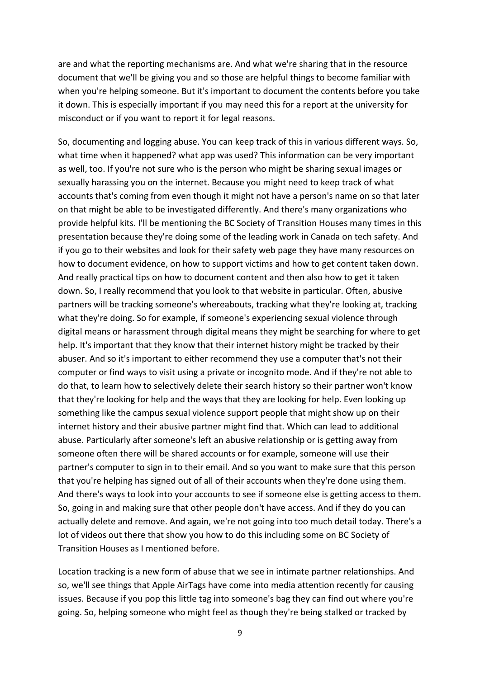are and what the reporting mechanisms are. And what we're sharing that in the resource document that we'll be giving you and so those are helpful things to become familiar with when you're helping someone. But it's important to document the contents before you take it down. This is especially important if you may need this for a report at the university for misconduct or if you want to report it for legal reasons.

So, documenting and logging abuse. You can keep track of this in various different ways. So, what time when it happened? what app was used? This information can be very important as well, too. If you're not sure who is the person who might be sharing sexual images or sexually harassing you on the internet. Because you might need to keep track of what accounts that's coming from even though it might not have a person's name on so that later on that might be able to be investigated differently. And there's many organizations who provide helpful kits. I'll be mentioning the BC Society of Transition Houses many times in this presentation because they're doing some of the leading work in Canada on tech safety. And if you go to their websites and look for their safety web page they have many resources on how to document evidence, on how to support victims and how to get content taken down. And really practical tips on how to document content and then also how to get it taken down. So, I really recommend that you look to that website in particular. Often, abusive partners will be tracking someone's whereabouts, tracking what they're looking at, tracking what they're doing. So for example, if someone's experiencing sexual violence through digital means or harassment through digital means they might be searching for where to get help. It's important that they know that their internet history might be tracked by their abuser. And so it's important to either recommend they use a computer that's not their computer or find ways to visit using a private or incognito mode. And if they're not able to do that, to learn how to selectively delete their search history so their partner won't know that they're looking for help and the ways that they are looking for help. Even looking up something like the campus sexual violence support people that might show up on their internet history and their abusive partner might find that. Which can lead to additional abuse. Particularly after someone's left an abusive relationship or is getting away from someone often there will be shared accounts or for example, someone will use their partner's computer to sign in to their email. And so you want to make sure that this person that you're helping has signed out of all of their accounts when they're done using them. And there's ways to look into your accounts to see if someone else is getting access to them. So, going in and making sure that other people don't have access. And if they do you can actually delete and remove. And again, we're not going into too much detail today. There's a lot of videos out there that show you how to do this including some on BC Society of Transition Houses as I mentioned before.

Location tracking is a new form of abuse that we see in intimate partner relationships. And so, we'll see things that Apple AirTags have come into media attention recently for causing issues. Because if you pop this little tag into someone's bag they can find out where you're going. So, helping someone who might feel as though they're being stalked or tracked by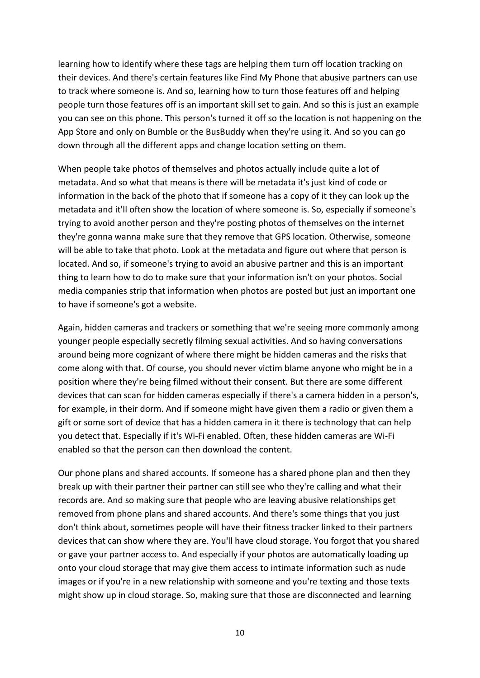learning how to identify where these tags are helping them turn off location tracking on their devices. And there's certain features like Find My Phone that abusive partners can use to track where someone is. And so, learning how to turn those features off and helping people turn those features off is an important skill set to gain. And so this is just an example you can see on this phone. This person's turned it off so the location is not happening on the App Store and only on Bumble or the BusBuddy when they're using it. And so you can go down through all the different apps and change location setting on them.

When people take photos of themselves and photos actually include quite a lot of metadata. And so what that means is there will be metadata it's just kind of code or information in the back of the photo that if someone has a copy of it they can look up the metadata and it'll often show the location of where someone is. So, especially if someone's trying to avoid another person and they're posting photos of themselves on the internet they're gonna wanna make sure that they remove that GPS location. Otherwise, someone will be able to take that photo. Look at the metadata and figure out where that person is located. And so, if someone's trying to avoid an abusive partner and this is an important thing to learn how to do to make sure that your information isn't on your photos. Social media companies strip that information when photos are posted but just an important one to have if someone's got a website.

Again, hidden cameras and trackers or something that we're seeing more commonly among younger people especially secretly filming sexual activities. And so having conversations around being more cognizant of where there might be hidden cameras and the risks that come along with that. Of course, you should never victim blame anyone who might be in a position where they're being filmed without their consent. But there are some different devices that can scan for hidden cameras especially if there's a camera hidden in a person's, for example, in their dorm. And if someone might have given them a radio or given them a gift or some sort of device that has a hidden camera in it there is technology that can help you detect that. Especially if it's Wi-Fi enabled. Often, these hidden cameras are Wi-Fi enabled so that the person can then download the content.

Our phone plans and shared accounts. If someone has a shared phone plan and then they break up with their partner their partner can still see who they're calling and what their records are. And so making sure that people who are leaving abusive relationships get removed from phone plans and shared accounts. And there's some things that you just don't think about, sometimes people will have their fitness tracker linked to their partners devices that can show where they are. You'll have cloud storage. You forgot that you shared or gave your partner access to. And especially if your photos are automatically loading up onto your cloud storage that may give them access to intimate information such as nude images or if you're in a new relationship with someone and you're texting and those texts might show up in cloud storage. So, making sure that those are disconnected and learning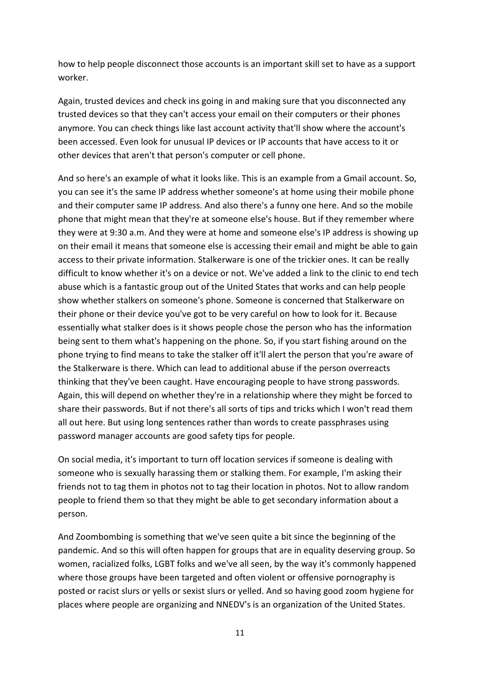how to help people disconnect those accounts is an important skill set to have as a support worker.

Again, trusted devices and check ins going in and making sure that you disconnected any trusted devices so that they can't access your email on their computers or their phones anymore. You can check things like last account activity that'll show where the account's been accessed. Even look for unusual IP devices or IP accounts that have access to it or other devices that aren't that person's computer or cell phone.

And so here's an example of what it looks like. This is an example from a Gmail account. So, you can see it's the same IP address whether someone's at home using their mobile phone and their computer same IP address. And also there's a funny one here. And so the mobile phone that might mean that they're at someone else's house. But if they remember where they were at 9:30 a.m. And they were at home and someone else's IP address is showing up on their email it means that someone else is accessing their email and might be able to gain access to their private information. Stalkerware is one of the trickier ones. It can be really difficult to know whether it's on a device or not. We've added a link to the clinic to end tech abuse which is a fantastic group out of the United States that works and can help people show whether stalkers on someone's phone. Someone is concerned that Stalkerware on their phone or their device you've got to be very careful on how to look for it. Because essentially what stalker does is it shows people chose the person who has the information being sent to them what's happening on the phone. So, if you start fishing around on the phone trying to find means to take the stalker off it'll alert the person that you're aware of the Stalkerware is there. Which can lead to additional abuse if the person overreacts thinking that they've been caught. Have encouraging people to have strong passwords. Again, this will depend on whether they're in a relationship where they might be forced to share their passwords. But if not there's all sorts of tips and tricks which I won't read them all out here. But using long sentences rather than words to create passphrases using password manager accounts are good safety tips for people.

On social media, it's important to turn off location services if someone is dealing with someone who is sexually harassing them or stalking them. For example, I'm asking their friends not to tag them in photos not to tag their location in photos. Not to allow random people to friend them so that they might be able to get secondary information about a person.

And Zoombombing is something that we've seen quite a bit since the beginning of the pandemic. And so this will often happen for groups that are in equality deserving group. So women, racialized folks, LGBT folks and we've all seen, by the way it's commonly happened where those groups have been targeted and often violent or offensive pornography is posted or racist slurs or yells or sexist slurs or yelled. And so having good zoom hygiene for places where people are organizing and NNEDV's is an organization of the United States.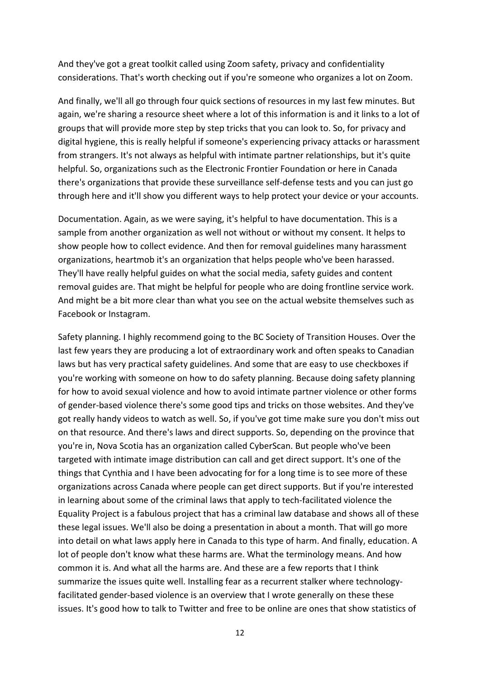And they've got a great toolkit called using Zoom safety, privacy and confidentiality considerations. That's worth checking out if you're someone who organizes a lot on Zoom.

And finally, we'll all go through four quick sections of resources in my last few minutes. But again, we're sharing a resource sheet where a lot of this information is and it links to a lot of groups that will provide more step by step tricks that you can look to. So, for privacy and digital hygiene, this is really helpful if someone's experiencing privacy attacks or harassment from strangers. It's not always as helpful with intimate partner relationships, but it's quite helpful. So, organizations such as the Electronic Frontier Foundation or here in Canada there's organizations that provide these surveillance self-defense tests and you can just go through here and it'll show you different ways to help protect your device or your accounts.

Documentation. Again, as we were saying, it's helpful to have documentation. This is a sample from another organization as well not without or without my consent. It helps to show people how to collect evidence. And then for removal guidelines many harassment organizations, heartmob it's an organization that helps people who've been harassed. They'll have really helpful guides on what the social media, safety guides and content removal guides are. That might be helpful for people who are doing frontline service work. And might be a bit more clear than what you see on the actual website themselves such as Facebook or Instagram.

Safety planning. I highly recommend going to the BC Society of Transition Houses. Over the last few years they are producing a lot of extraordinary work and often speaks to Canadian laws but has very practical safety guidelines. And some that are easy to use checkboxes if you're working with someone on how to do safety planning. Because doing safety planning for how to avoid sexual violence and how to avoid intimate partner violence or other forms of gender-based violence there's some good tips and tricks on those websites. And they've got really handy videos to watch as well. So, if you've got time make sure you don't miss out on that resource. And there's laws and direct supports. So, depending on the province that you're in, Nova Scotia has an organization called CyberScan. But people who've been targeted with intimate image distribution can call and get direct support. It's one of the things that Cynthia and I have been advocating for for a long time is to see more of these organizations across Canada where people can get direct supports. But if you're interested in learning about some of the criminal laws that apply to tech-facilitated violence the Equality Project is a fabulous project that has a criminal law database and shows all of these these legal issues. We'll also be doing a presentation in about a month. That will go more into detail on what laws apply here in Canada to this type of harm. And finally, education. A lot of people don't know what these harms are. What the terminology means. And how common it is. And what all the harms are. And these are a few reports that I think summarize the issues quite well. Installing fear as a recurrent stalker where technologyfacilitated gender-based violence is an overview that I wrote generally on these these issues. It's good how to talk to Twitter and free to be online are ones that show statistics of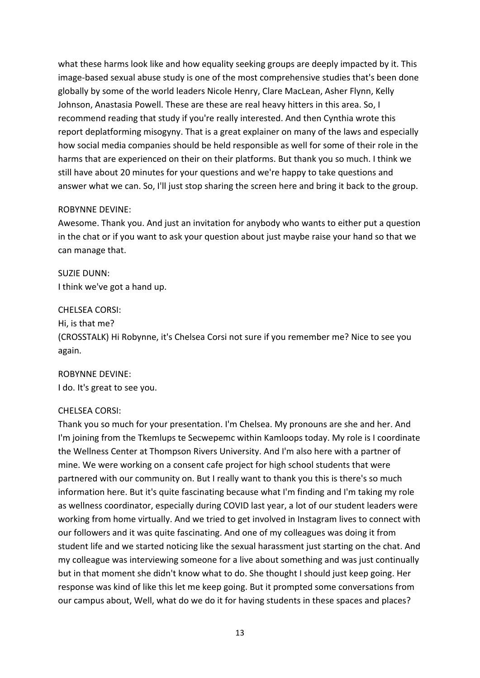what these harms look like and how equality seeking groups are deeply impacted by it. This image-based sexual abuse study is one of the most comprehensive studies that's been done globally by some of the world leaders Nicole Henry, Clare MacLean, Asher Flynn, Kelly Johnson, Anastasia Powell. These are these are real heavy hitters in this area. So, I recommend reading that study if you're really interested. And then Cynthia wrote this report deplatforming misogyny. That is a great explainer on many of the laws and especially how social media companies should be held responsible as well for some of their role in the harms that are experienced on their on their platforms. But thank you so much. I think we still have about 20 minutes for your questions and we're happy to take questions and answer what we can. So, I'll just stop sharing the screen here and bring it back to the group.

# ROBYNNE DEVINE:

Awesome. Thank you. And just an invitation for anybody who wants to either put a question in the chat or if you want to ask your question about just maybe raise your hand so that we can manage that.

SUZIE DUNN: I think we've got a hand up.

### CHELSEA CORSI:

Hi, is that me?

(CROSSTALK) Hi Robynne, it's Chelsea Corsi not sure if you remember me? Nice to see you again.

ROBYNNE DEVINE: I do. It's great to see you.

# CHELSEA CORSI:

Thank you so much for your presentation. I'm Chelsea. My pronouns are she and her. And I'm joining from the Tkemlups te Secwepemc within Kamloops today. My role is I coordinate the Wellness Center at Thompson Rivers University. And I'm also here with a partner of mine. We were working on a consent cafe project for high school students that were partnered with our community on. But I really want to thank you this is there's so much information here. But it's quite fascinating because what I'm finding and I'm taking my role as wellness coordinator, especially during COVID last year, a lot of our student leaders were working from home virtually. And we tried to get involved in Instagram lives to connect with our followers and it was quite fascinating. And one of my colleagues was doing it from student life and we started noticing like the sexual harassment just starting on the chat. And my colleague was interviewing someone for a live about something and was just continually but in that moment she didn't know what to do. She thought I should just keep going. Her response was kind of like this let me keep going. But it prompted some conversations from our campus about, Well, what do we do it for having students in these spaces and places?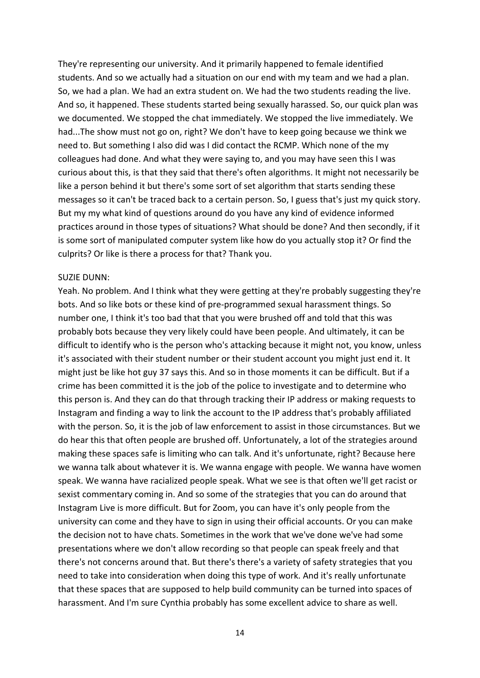They're representing our university. And it primarily happened to female identified students. And so we actually had a situation on our end with my team and we had a plan. So, we had a plan. We had an extra student on. We had the two students reading the live. And so, it happened. These students started being sexually harassed. So, our quick plan was we documented. We stopped the chat immediately. We stopped the live immediately. We had...The show must not go on, right? We don't have to keep going because we think we need to. But something I also did was I did contact the RCMP. Which none of the my colleagues had done. And what they were saying to, and you may have seen this I was curious about this, is that they said that there's often algorithms. It might not necessarily be like a person behind it but there's some sort of set algorithm that starts sending these messages so it can't be traced back to a certain person. So, I guess that's just my quick story. But my my what kind of questions around do you have any kind of evidence informed practices around in those types of situations? What should be done? And then secondly, if it is some sort of manipulated computer system like how do you actually stop it? Or find the culprits? Or like is there a process for that? Thank you.

#### SUZIE DUNN:

Yeah. No problem. And I think what they were getting at they're probably suggesting they're bots. And so like bots or these kind of pre-programmed sexual harassment things. So number one, I think it's too bad that that you were brushed off and told that this was probably bots because they very likely could have been people. And ultimately, it can be difficult to identify who is the person who's attacking because it might not, you know, unless it's associated with their student number or their student account you might just end it. It might just be like hot guy 37 says this. And so in those moments it can be difficult. But if a crime has been committed it is the job of the police to investigate and to determine who this person is. And they can do that through tracking their IP address or making requests to Instagram and finding a way to link the account to the IP address that's probably affiliated with the person. So, it is the job of law enforcement to assist in those circumstances. But we do hear this that often people are brushed off. Unfortunately, a lot of the strategies around making these spaces safe is limiting who can talk. And it's unfortunate, right? Because here we wanna talk about whatever it is. We wanna engage with people. We wanna have women speak. We wanna have racialized people speak. What we see is that often we'll get racist or sexist commentary coming in. And so some of the strategies that you can do around that Instagram Live is more difficult. But for Zoom, you can have it's only people from the university can come and they have to sign in using their official accounts. Or you can make the decision not to have chats. Sometimes in the work that we've done we've had some presentations where we don't allow recording so that people can speak freely and that there's not concerns around that. But there's there's a variety of safety strategies that you need to take into consideration when doing this type of work. And it's really unfortunate that these spaces that are supposed to help build community can be turned into spaces of harassment. And I'm sure Cynthia probably has some excellent advice to share as well.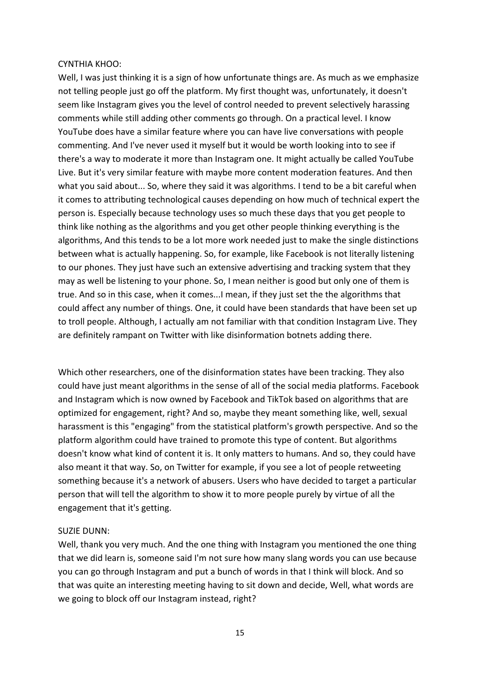### CYNTHIA KHOO:

Well, I was just thinking it is a sign of how unfortunate things are. As much as we emphasize not telling people just go off the platform. My first thought was, unfortunately, it doesn't seem like Instagram gives you the level of control needed to prevent selectively harassing comments while still adding other comments go through. On a practical level. I know YouTube does have a similar feature where you can have live conversations with people commenting. And I've never used it myself but it would be worth looking into to see if there's a way to moderate it more than Instagram one. It might actually be called YouTube Live. But it's very similar feature with maybe more content moderation features. And then what you said about... So, where they said it was algorithms. I tend to be a bit careful when it comes to attributing technological causes depending on how much of technical expert the person is. Especially because technology uses so much these days that you get people to think like nothing as the algorithms and you get other people thinking everything is the algorithms, And this tends to be a lot more work needed just to make the single distinctions between what is actually happening. So, for example, like Facebook is not literally listening to our phones. They just have such an extensive advertising and tracking system that they may as well be listening to your phone. So, I mean neither is good but only one of them is true. And so in this case, when it comes...I mean, if they just set the the algorithms that could affect any number of things. One, it could have been standards that have been set up to troll people. Although, I actually am not familiar with that condition Instagram Live. They are definitely rampant on Twitter with like disinformation botnets adding there.

Which other researchers, one of the disinformation states have been tracking. They also could have just meant algorithms in the sense of all of the social media platforms. Facebook and Instagram which is now owned by Facebook and TikTok based on algorithms that are optimized for engagement, right? And so, maybe they meant something like, well, sexual harassment is this "engaging" from the statistical platform's growth perspective. And so the platform algorithm could have trained to promote this type of content. But algorithms doesn't know what kind of content it is. It only matters to humans. And so, they could have also meant it that way. So, on Twitter for example, if you see a lot of people retweeting something because it's a network of abusers. Users who have decided to target a particular person that will tell the algorithm to show it to more people purely by virtue of all the engagement that it's getting.

# SUZIE DUNN:

Well, thank you very much. And the one thing with Instagram you mentioned the one thing that we did learn is, someone said I'm not sure how many slang words you can use because you can go through Instagram and put a bunch of words in that I think will block. And so that was quite an interesting meeting having to sit down and decide, Well, what words are we going to block off our Instagram instead, right?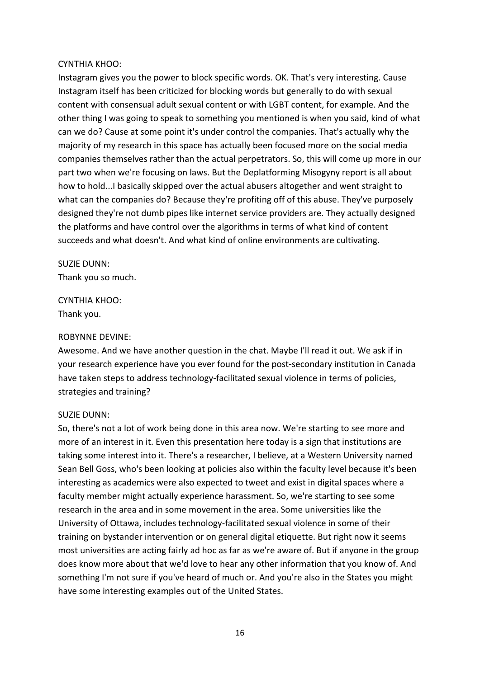## CYNTHIA KHOO:

Instagram gives you the power to block specific words. OK. That's very interesting. Cause Instagram itself has been criticized for blocking words but generally to do with sexual content with consensual adult sexual content or with LGBT content, for example. And the other thing I was going to speak to something you mentioned is when you said, kind of what can we do? Cause at some point it's under control the companies. That's actually why the majority of my research in this space has actually been focused more on the social media companies themselves rather than the actual perpetrators. So, this will come up more in our part two when we're focusing on laws. But the Deplatforming Misogyny report is all about how to hold...I basically skipped over the actual abusers altogether and went straight to what can the companies do? Because they're profiting off of this abuse. They've purposely designed they're not dumb pipes like internet service providers are. They actually designed the platforms and have control over the algorithms in terms of what kind of content succeeds and what doesn't. And what kind of online environments are cultivating.

SUZIE DUNN: Thank you so much.

CYNTHIA KHOO: Thank you.

### ROBYNNE DEVINE:

Awesome. And we have another question in the chat. Maybe I'll read it out. We ask if in your research experience have you ever found for the post-secondary institution in Canada have taken steps to address technology-facilitated sexual violence in terms of policies, strategies and training?

### SUZIE DUNN:

So, there's not a lot of work being done in this area now. We're starting to see more and more of an interest in it. Even this presentation here today is a sign that institutions are taking some interest into it. There's a researcher, I believe, at a Western University named Sean Bell Goss, who's been looking at policies also within the faculty level because it's been interesting as academics were also expected to tweet and exist in digital spaces where a faculty member might actually experience harassment. So, we're starting to see some research in the area and in some movement in the area. Some universities like the University of Ottawa, includes technology-facilitated sexual violence in some of their training on bystander intervention or on general digital etiquette. But right now it seems most universities are acting fairly ad hoc as far as we're aware of. But if anyone in the group does know more about that we'd love to hear any other information that you know of. And something I'm not sure if you've heard of much or. And you're also in the States you might have some interesting examples out of the United States.